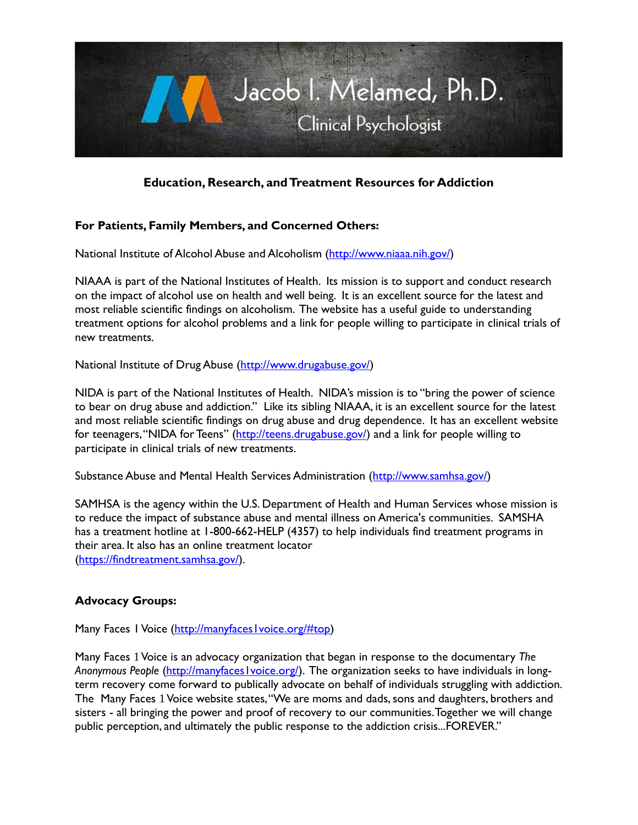

# **Education, Research, and Treatment Resources for Addiction**

## **For Patients, Family Members, and Concerned Others:**

National Institute of Alcohol Abuse and Alcoholism [\(http://www.niaaa.nih.gov/\)](http://www.niaaa.nih.gov/)

NIAAA is part of the National Institutes of Health. Its mission is to support and conduct research on the impact of alcohol use on health and well being. It is an excellent source for the latest and most reliable scientific findings on alcoholism. The website has a useful guide to understanding treatment options for alcohol problems and a link for people willing to participate in clinical trials of new treatments.

National Institute of Drug Abuse [\(http://www.drugabuse.gov/\)](http://www.drugabuse.gov/)

NIDA is part of the National Institutes of Health. NIDA's mission is to "bring the power of science to bear on drug abuse and addiction." Like its sibling NIAAA, it is an excellent source for the latest and most reliable scientific findings on drug abuse and drug dependence. It has an excellent website for teenagers, "NIDA for Teens" ([http://teens.drugabuse.gov/\)](http://teens.drugabuse.gov/) and a link for people willing to participate in clinical trials of new treatments.

Substance Abuse and Mental Health Services Administration [\(http://www.samhsa.gov/\)](http://www.samhsa.gov/)

SAMHSA is the agency within the U.S. Department of Health and Human Services whose mission is to reduce the impact of substance abuse and mental illness on America's communities. SAMSHA has a treatment hotline at 1-800-662-HELP (4357) to help individuals find treatment programs in their area. It also has an online treatment locator [\(https://findtreatment.samhsa.gov/\)](https://findtreatment.samhsa.gov/).

#### **Advocacy Groups:**

Many Faces 1 Voice [\(http://manyfaces1voice.org/#top\)](http://manyfaces1voice.org/#top)

Many Faces 1Voice is an advocacy organization that began in response to the documentary *The*  Anonymous People (http://manyfaces*voice.org/)*. The organization seeks to have individuals in longterm recovery come forward to publically advocate on behalf of individuals struggling with addiction. The Many Faces 1Voice website states, "We are moms and dads, sons and daughters, brothers and sisters - all bringing the power and proof of recovery to our communities. Together we will change public perception, and ultimately the public response to the addiction crisis...FOREVER."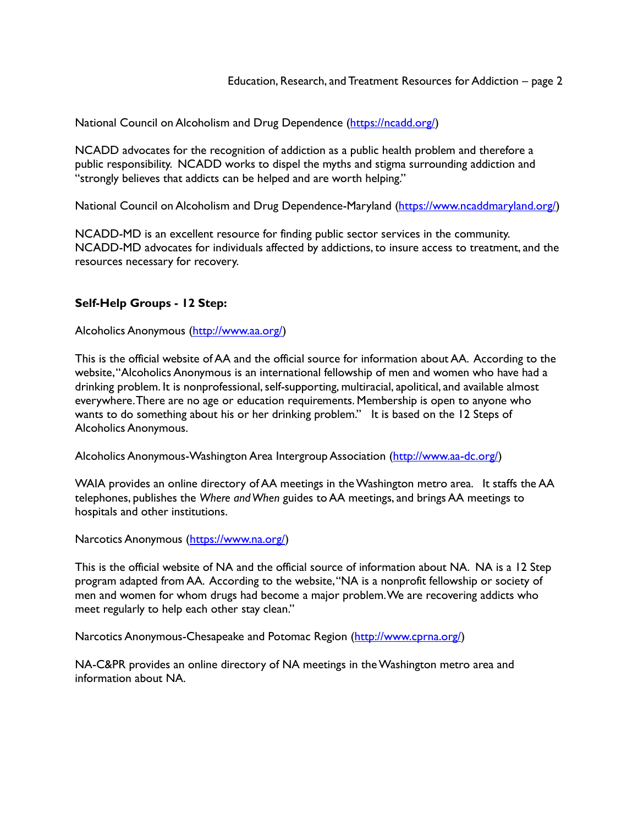National Council on Alcoholism and Drug Dependence [\(https://ncadd.org/\)](https://ncadd.org/)

NCADD advocates for the recognition of addiction as a public health problem and therefore a public responsibility. NCADD works to dispel the myths and stigma surrounding addiction and "strongly believes that addicts can be helped and are worth helping."

National Council on Alcoholism and Drug Dependence-Maryland [\(https://www.ncaddmaryland.org/\)](https://www.ncaddmaryland.org/)

NCADD-MD is an excellent resource for finding public sector services in the community. NCADD-MD advocates for individuals affected by addictions, to insure access to treatment, and the resources necessary for recovery.

### **Self-Help Groups - 12 Step:**

Alcoholics Anonymous [\(http://www.aa.org/\)](http://www.aa.org/)

This is the official website of AA and the official source for information about AA. According to the website, "Alcoholics Anonymous is an international fellowship of men and women who have had a drinking problem. It is nonprofessional, self-supporting, multiracial, apolitical, and available almost everywhere. There are no age or education requirements. Membership is open to anyone who wants to do something about his or her drinking problem." It is based on the 12 Steps of Alcoholics Anonymous.

Alcoholics Anonymous-Washington Area Intergroup Association [\(http://www.aa-dc.org/\)](http://www.aa-dc.org/)

WAIA provides an online directory of AA meetings in the Washington metro area. It staffs the AA telephones, publishes the *Where and When* guides to AA meetings, and brings AA meetings to hospitals and other institutions.

Narcotics Anonymous [\(https://www.na.org/\)](https://www.na.org/)

This is the official website of NA and the official source of information about NA. NA is a 12 Step program adapted from AA. According to the website, "NA is a nonprofit fellowship or society of men and women for whom drugs had become a major problem. We are recovering addicts who meet regularly to help each other stay clean."

Narcotics Anonymous-Chesapeake and Potomac Region [\(http://www.cprna.org/\)](http://www.cprna.org/)

NA-C&PR provides an online directory of NA meetings in the Washington metro area and information about NA.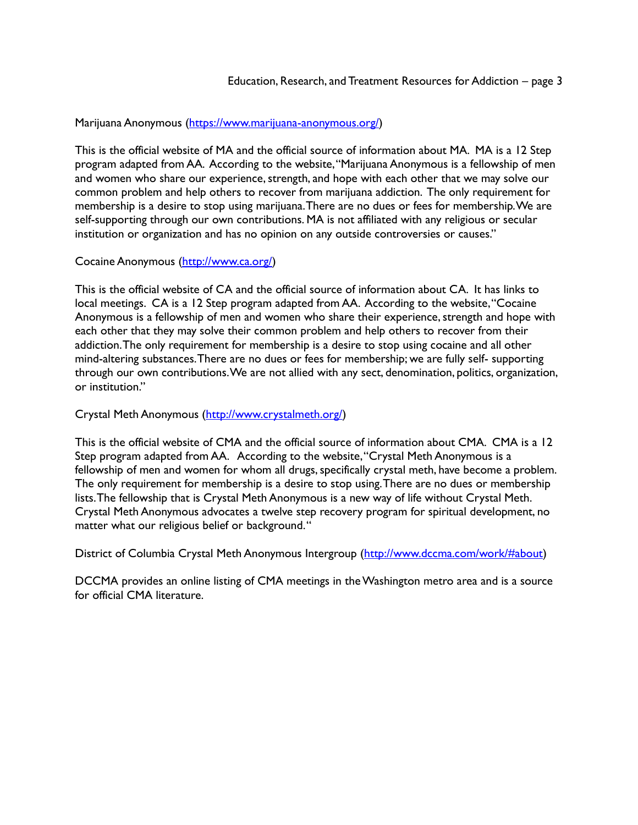### Marijuana Anonymous [\(https://www.marijuana-anonymous.org/\)](https://www.marijuana-anonymous.org/)

This is the official website of MA and the official source of information about MA. MA is a 12 Step program adapted from AA. According to the website, "Marijuana Anonymous is a fellowship of men and women who share our experience, strength, and hope with each other that we may solve our common problem and help others to recover from marijuana addiction. The only requirement for membership is a desire to stop using marijuana. There are no dues or fees for membership. We are self-supporting through our own contributions. MA is not affiliated with any religious or secular institution or organization and has no opinion on any outside controversies or causes."

#### Cocaine Anonymous [\(http://www.ca.org/\)](http://www.ca.org/)

This is the official website of CA and the official source of information about CA. It has links to local meetings. CA is a 12 Step program adapted from AA. According to the website, "Cocaine Anonymous is a fellowship of men and women who share their experience, strength and hope with each other that they may solve their common problem and help others to recover from their addiction. The only requirement for membership is a desire to stop using cocaine and all other mind-altering substances. There are no dues or fees for membership; we are fully self- supporting through our own contributions. We are not allied with any sect, denomination, politics, organization, or institution."

#### Crystal Meth Anonymous [\(http://www.crystalmeth.org/\)](http://www.crystalmeth.org/)

This is the official website of CMA and the official source of information about CMA. CMA is a 12 Step program adapted from AA. According to the website, "Crystal Meth Anonymous is a fellowship of men and women for whom all drugs, specifically crystal meth, have become a problem. The only requirement for membership is a desire to stop using. There are no dues or membership lists. The fellowship that is Crystal Meth Anonymous is a new way of life without Crystal Meth. Crystal Meth Anonymous advocates a twelve step recovery program for spiritual development, no matter what our religious belief or background. "

District of Columbia Crystal Meth Anonymous Intergroup [\(http://www.dccma.com/work/#about\)](http://www.dccma.com/work/%23about)

DCCMA provides an online listing of CMA meetings in the Washington metro area and is a source for official CMA literature.